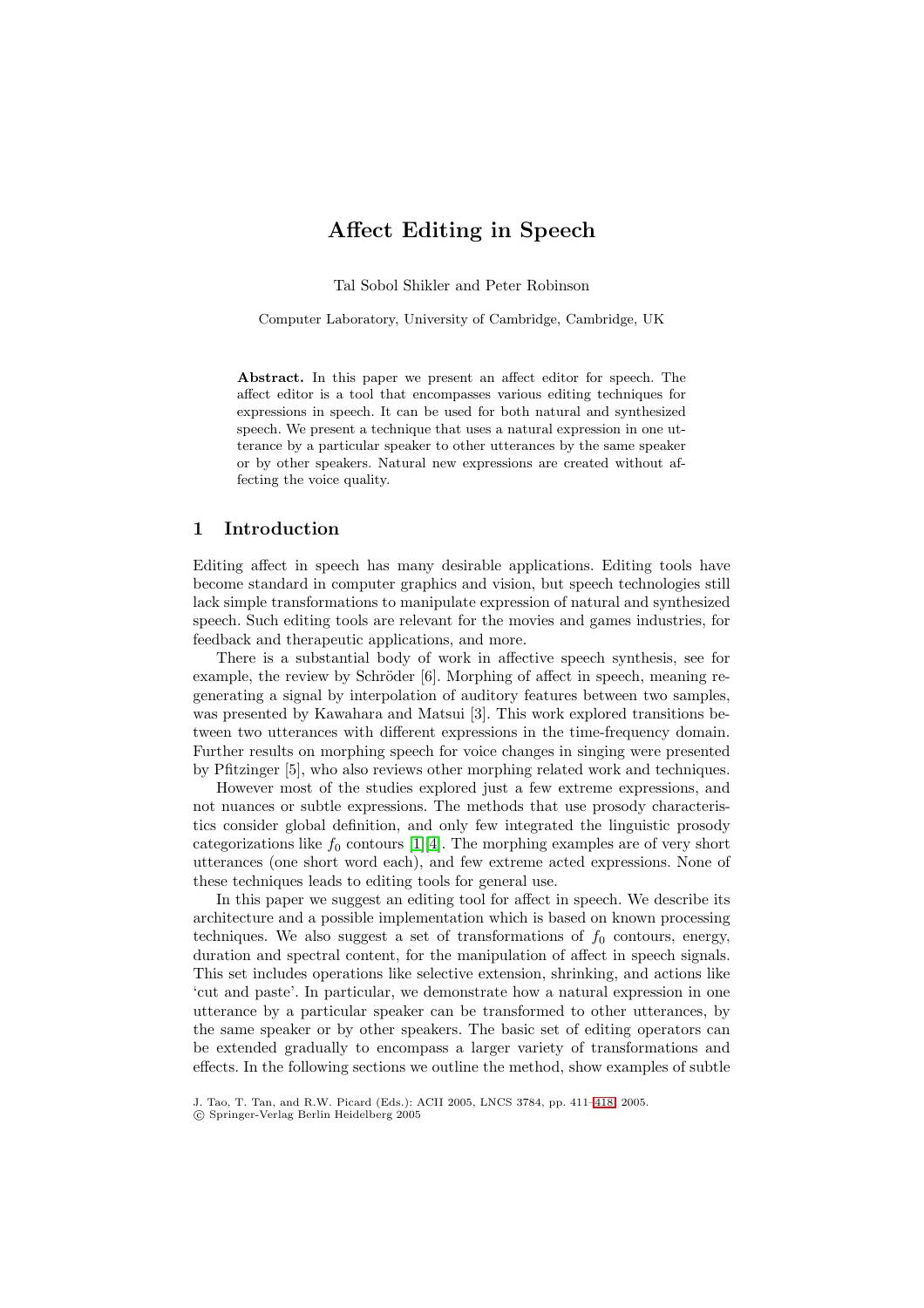# **Affect Editing in Speech**

Tal Sobol Shikler and Peter Robinson

Computer Laboratory, University of Cambridge, Cambridge, UK

**Abstract.** In this paper we present an affect editor for speech. The affect editor is a tool that encompasses various editing techniques for expressions in speech. It can be used for both natural and synthesized speech. We present a technique that uses a natural expression in one utterance by a particular speaker to other utterances by the same speaker or by other speakers. Natural new expressions are created without affecting the voice quality.

### **1 Introduction**

Editing affect in speech has many desirable applications. Editing tools have become standard in computer graphics and vision, but speech technologies still lack simple transformations to manipulate expression of natural and synthesized speech. Such editing tools are relevant for the movies and games industries, for feedback and therapeutic applications, and more.

There is a substantial body of work in affective speech synthesis, see for example, the review by Schröder  $[6]$ . Morphing of affect in speech, meaning regenerating a signal by interpolation of auditory features between two samples, was presented by Kawahara and Matsui [3]. This work explored transitions between two utterances with different expressions in the time-frequency domain. Further results on morphing speech for voice changes in singing were presented by Pfitzinger [5], who also reviews other morphing related work and techniques.

However most of the studies explored just a few extreme expressions, and not nuances or subtle expressions. The methods that use prosody characteristics consider global definition, and only few integrated the linguistic prosody categorizations like  $f_0$  contours [\[1\]](#page-6-0)[\[4\]](#page-7-0). The morphing examples are of very short utterances (one short word each), and few extreme acted expressions. None of these techniques leads to editing tools for general use.

In this paper we suggest an editing tool for affect in speech. We describe its architecture and a possible implementation which is based on known processing techniques. We also suggest a set of transformations of  $f_0$  contours, energy, duration and spectral content, for the manipulation of affect in speech signals. This set includes operations like selective extension, shrinking, and actions like 'cut and paste'. In particular, we demonstrate how a natural expression in one utterance by a particular speaker can be transformed to other utterances, by the same speaker or by other speakers. The basic set of editing operators can be extended gradually to encompass a larger variety of transformations and effects. In the following sections we outline the method, show examples of subtle

J. Tao, T. Tan, and R.W. Picard (Eds.): ACII 2005, LNCS 3784, pp. 411[–418,](#page-6-1) 2005.

c Springer-Verlag Berlin Heidelberg 2005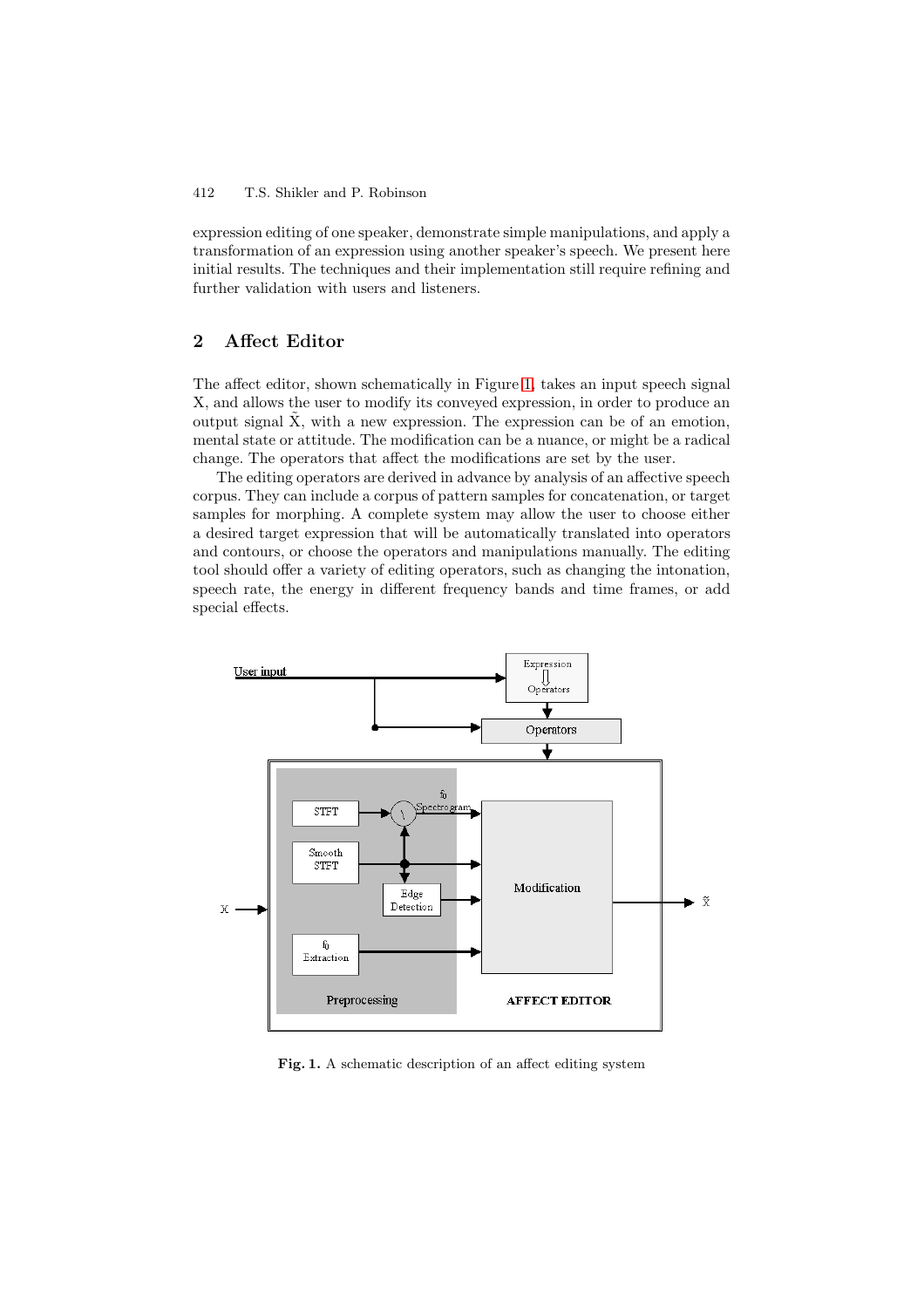#### 412 T.S. Shikler and P. Robinson

expression editing of one speaker, demonstrate simple manipulations, and apply a transformation of an expression using another speaker's speech. We present here initial results. The techniques and their implementation still require refining and further validation with users and listeners.

# **2 Affect Editor**

The affect editor, shown schematically in Figure [1,](#page-1-0) takes an input speech signal X, and allows the user to modify its conveyed expression, in order to produce an output signal  $\tilde{X}$ , with a new expression. The expression can be of an emotion, mental state or attitude. The modification can be a nuance, or might be a radical change. The operators that affect the modifications are set by the user.

The editing operators are derived in advance by analysis of an affective speech corpus. They can include a corpus of pattern samples for concatenation, or target samples for morphing. A complete system may allow the user to choose either a desired target expression that will be automatically translated into operators and contours, or choose the operators and manipulations manually. The editing tool should offer a variety of editing operators, such as changing the intonation, speech rate, the energy in different frequency bands and time frames, or add special effects.



<span id="page-1-0"></span>**Fig. 1.** A schematic description of an affect editing system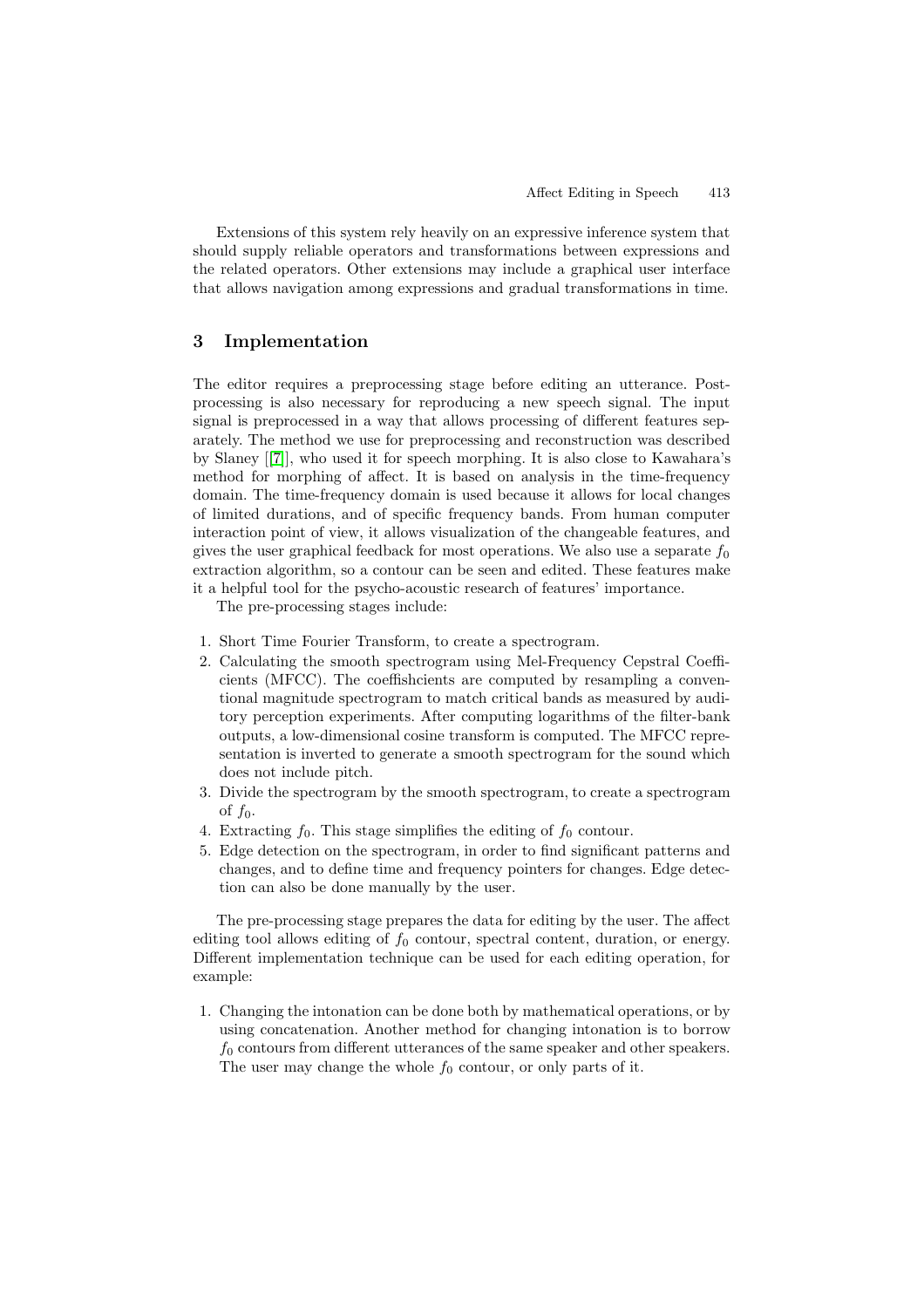Extensions of this system rely heavily on an expressive inference system that should supply reliable operators and transformations between expressions and the related operators. Other extensions may include a graphical user interface that allows navigation among expressions and gradual transformations in time.

## **3 Implementation**

The editor requires a preprocessing stage before editing an utterance. Postprocessing is also necessary for reproducing a new speech signal. The input signal is preprocessed in a way that allows processing of different features separately. The method we use for preprocessing and reconstruction was described by Slaney [[\[7\]](#page-7-1)], who used it for speech morphing. It is also close to Kawahara's method for morphing of affect. It is based on analysis in the time-frequency domain. The time-frequency domain is used because it allows for local changes of limited durations, and of specific frequency bands. From human computer interaction point of view, it allows visualization of the changeable features, and gives the user graphical feedback for most operations. We also use a separate  $f_0$ extraction algorithm, so a contour can be seen and edited. These features make it a helpful tool for the psycho-acoustic research of features' importance.

The pre-processing stages include:

- 1. Short Time Fourier Transform, to create a spectrogram.
- 2. Calculating the smooth spectrogram using Mel-Frequency Cepstral Coefficients (MFCC). The coeffishcients are computed by resampling a conventional magnitude spectrogram to match critical bands as measured by auditory perception experiments. After computing logarithms of the filter-bank outputs, a low-dimensional cosine transform is computed. The MFCC representation is inverted to generate a smooth spectrogram for the sound which does not include pitch.
- 3. Divide the spectrogram by the smooth spectrogram, to create a spectrogram of *f*0.
- 4. Extracting  $f_0$ . This stage simplifies the editing of  $f_0$  contour.
- 5. Edge detection on the spectrogram, in order to find significant patterns and changes, and to define time and frequency pointers for changes. Edge detection can also be done manually by the user.

The pre-processing stage prepares the data for editing by the user. The affect editing tool allows editing of  $f_0$  contour, spectral content, duration, or energy. Different implementation technique can be used for each editing operation, for example:

1. Changing the intonation can be done both by mathematical operations, or by using concatenation. Another method for changing intonation is to borrow *f*<sup>0</sup> contours from different utterances of the same speaker and other speakers. The user may change the whole  $f_0$  contour, or only parts of it.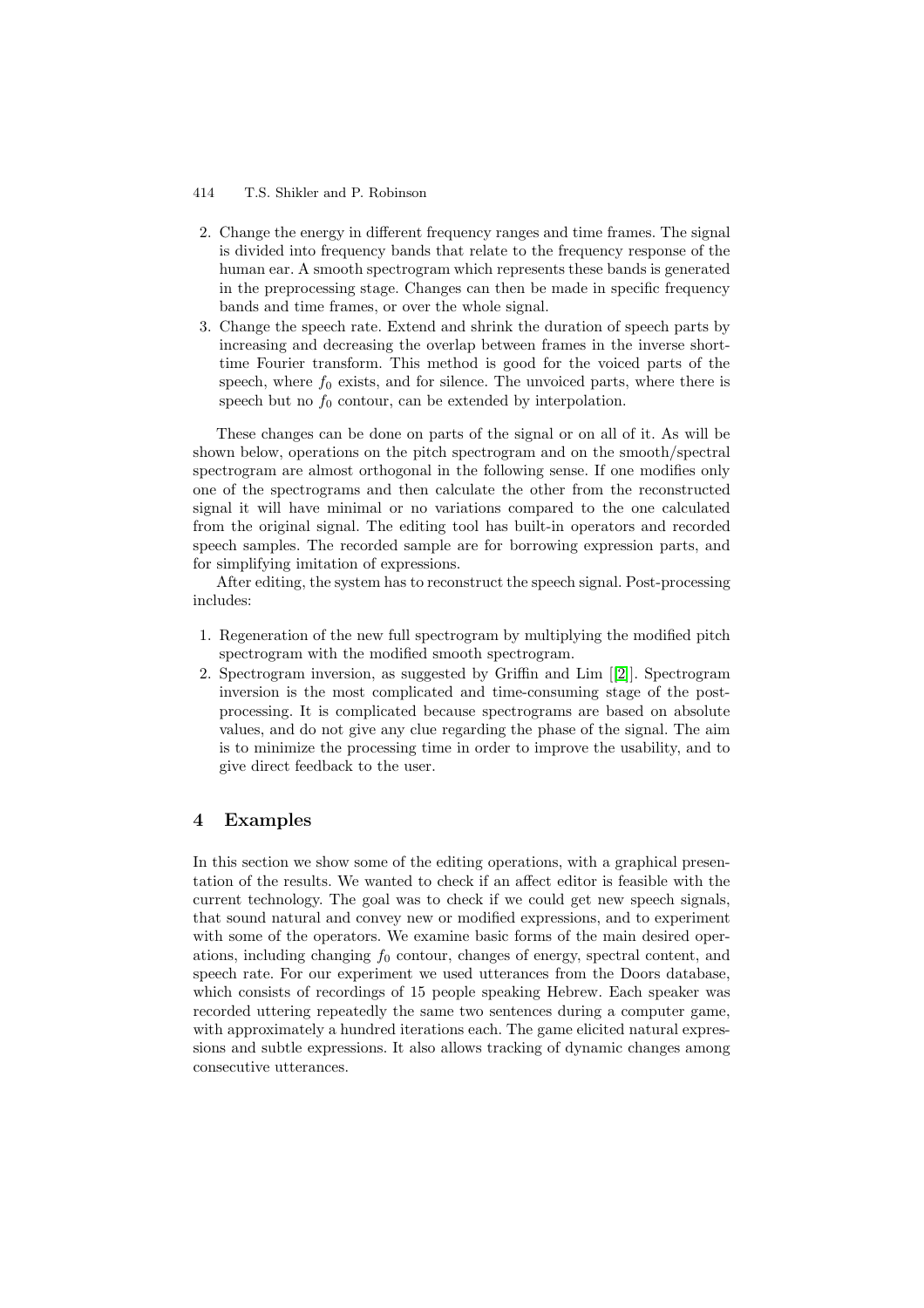#### 414 T.S. Shikler and P. Robinson

- 2. Change the energy in different frequency ranges and time frames. The signal is divided into frequency bands that relate to the frequency response of the human ear. A smooth spectrogram which represents these bands is generated in the preprocessing stage. Changes can then be made in specific frequency bands and time frames, or over the whole signal.
- 3. Change the speech rate. Extend and shrink the duration of speech parts by increasing and decreasing the overlap between frames in the inverse shorttime Fourier transform. This method is good for the voiced parts of the speech, where  $f_0$  exists, and for silence. The unvoiced parts, where there is speech but no  $f_0$  contour, can be extended by interpolation.

These changes can be done on parts of the signal or on all of it. As will be shown below, operations on the pitch spectrogram and on the smooth/spectral spectrogram are almost orthogonal in the following sense. If one modifies only one of the spectrograms and then calculate the other from the reconstructed signal it will have minimal or no variations compared to the one calculated from the original signal. The editing tool has built-in operators and recorded speech samples. The recorded sample are for borrowing expression parts, and for simplifying imitation of expressions.

After editing, the system has to reconstruct the speech signal. Post-processing includes:

- 1. Regeneration of the new full spectrogram by multiplying the modified pitch spectrogram with the modified smooth spectrogram.
- 2. Spectrogram inversion, as suggested by Griffin and Lim [[\[2\]](#page-6-2)]. Spectrogram inversion is the most complicated and time-consuming stage of the postprocessing. It is complicated because spectrograms are based on absolute values, and do not give any clue regarding the phase of the signal. The aim is to minimize the processing time in order to improve the usability, and to give direct feedback to the user.

### **4 Examples**

In this section we show some of the editing operations, with a graphical presentation of the results. We wanted to check if an affect editor is feasible with the current technology. The goal was to check if we could get new speech signals, that sound natural and convey new or modified expressions, and to experiment with some of the operators. We examine basic forms of the main desired operations, including changing *f*<sup>0</sup> contour, changes of energy, spectral content, and speech rate. For our experiment we used utterances from the Doors database, which consists of recordings of 15 people speaking Hebrew. Each speaker was recorded uttering repeatedly the same two sentences during a computer game, with approximately a hundred iterations each. The game elicited natural expressions and subtle expressions. It also allows tracking of dynamic changes among consecutive utterances.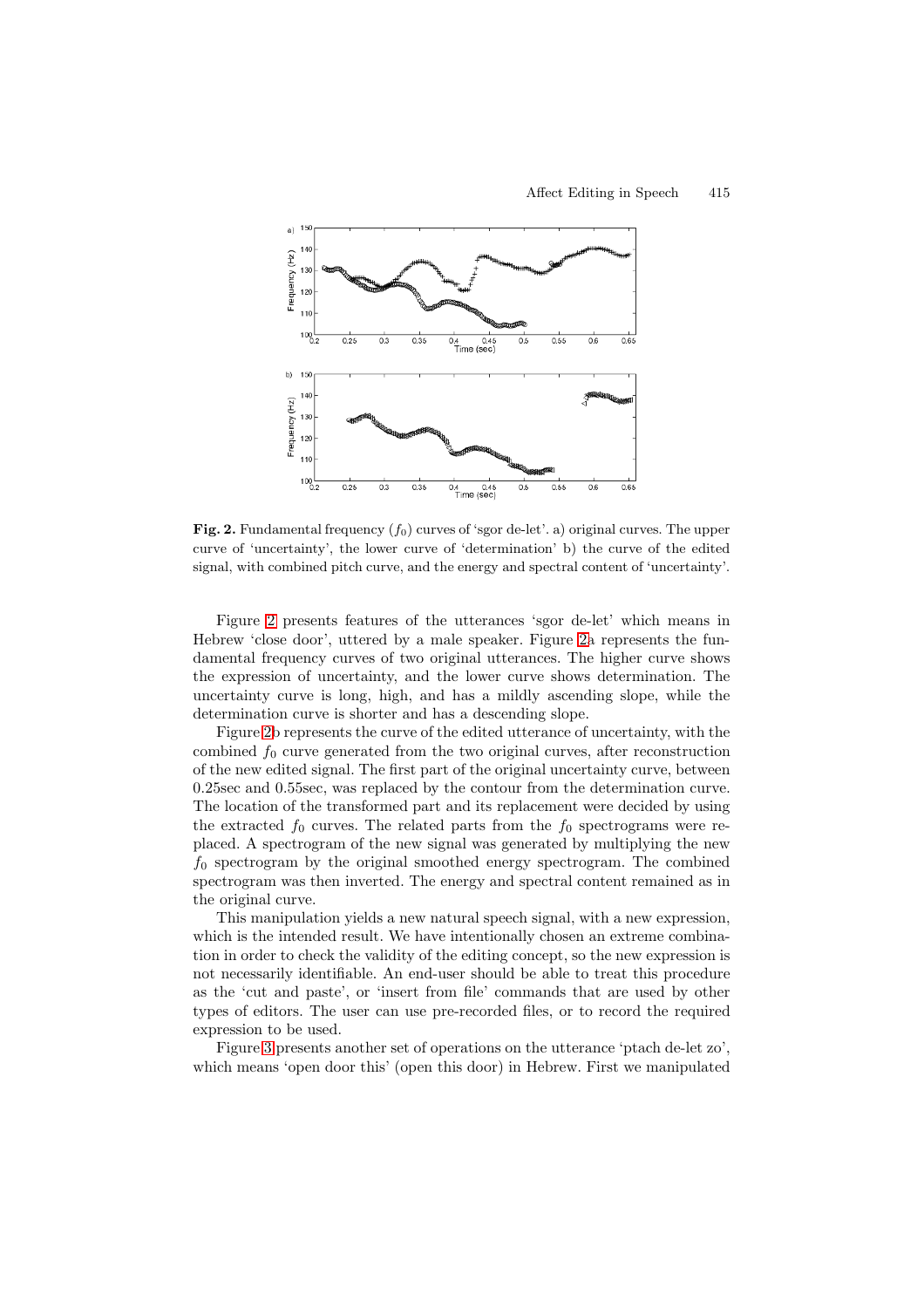

<span id="page-4-0"></span>**Fig. 2.** Fundamental frequency  $(f_0)$  curves of 'sgor de-let'. a) original curves. The upper curve of 'uncertainty', the lower curve of 'determination' b) the curve of the edited signal, with combined pitch curve, and the energy and spectral content of 'uncertainty'.

Figure [2](#page-4-0) presents features of the utterances 'sgor de-let' which means in Hebrew 'close door', uttered by a male speaker. Figure [2a](#page-4-0) represents the fundamental frequency curves of two original utterances. The higher curve shows the expression of uncertainty, and the lower curve shows determination. The uncertainty curve is long, high, and has a mildly ascending slope, while the determination curve is shorter and has a descending slope.

Figure [2b](#page-4-0) represents the curve of the edited utterance of uncertainty, with the combined  $f_0$  curve generated from the two original curves, after reconstruction of the new edited signal. The first part of the original uncertainty curve, between 0.25sec and 0.55sec, was replaced by the contour from the determination curve. The location of the transformed part and its replacement were decided by using the extracted  $f_0$  curves. The related parts from the  $f_0$  spectrograms were replaced. A spectrogram of the new signal was generated by multiplying the new  $f_0$  spectrogram by the original smoothed energy spectrogram. The combined spectrogram was then inverted. The energy and spectral content remained as in the original curve.

This manipulation yields a new natural speech signal, with a new expression, which is the intended result. We have intentionally chosen an extreme combination in order to check the validity of the editing concept, so the new expression is not necessarily identifiable. An end-user should be able to treat this procedure as the 'cut and paste', or 'insert from file' commands that are used by other types of editors. The user can use pre-recorded files, or to record the required expression to be used.

Figure [3](#page-5-0) presents another set of operations on the utterance 'ptach de-let zo', which means 'open door this' (open this door) in Hebrew. First we manipulated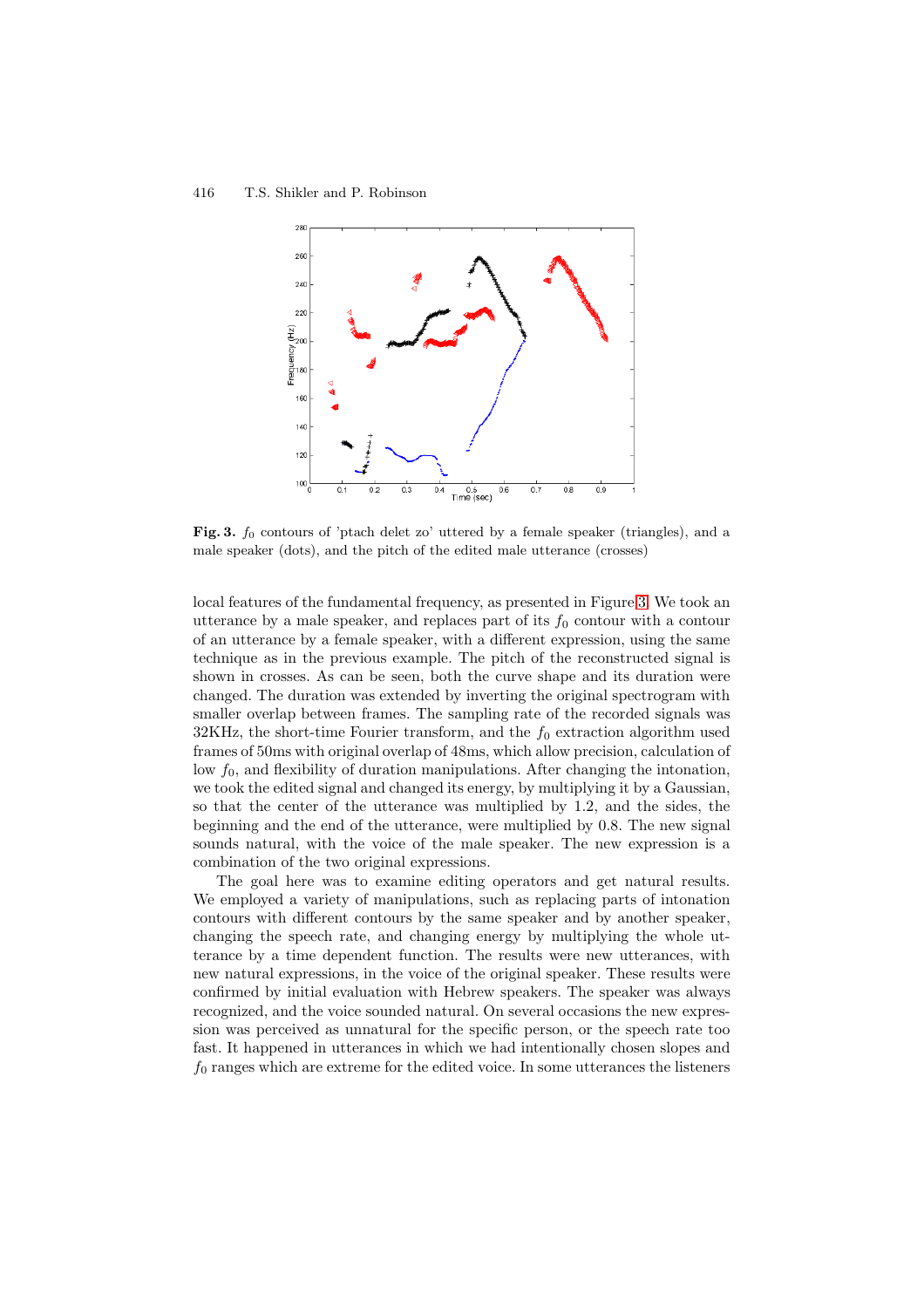

<span id="page-5-0"></span>**Fig. 3.** *<sup>f</sup>*<sup>0</sup> contours of 'ptach delet zo' uttered by a female speaker (triangles), and a male speaker (dots), and the pitch of the edited male utterance (crosses)

local features of the fundamental frequency, as presented in Figure [3.](#page-5-0) We took an utterance by a male speaker, and replaces part of its  $f_0$  contour with a contour of an utterance by a female speaker, with a different expression, using the same technique as in the previous example. The pitch of the reconstructed signal is shown in crosses. As can be seen, both the curve shape and its duration were changed. The duration was extended by inverting the original spectrogram with smaller overlap between frames. The sampling rate of the recorded signals was  $32KHz$ , the short-time Fourier transform, and the  $f_0$  extraction algorithm used frames of 50ms with original overlap of 48ms, which allow precision, calculation of low  $f_0$ , and flexibility of duration manipulations. After changing the intonation, we took the edited signal and changed its energy, by multiplying it by a Gaussian, so that the center of the utterance was multiplied by 1.2, and the sides, the beginning and the end of the utterance, were multiplied by 0.8. The new signal sounds natural, with the voice of the male speaker. The new expression is a combination of the two original expressions.

The goal here was to examine editing operators and get natural results. We employed a variety of manipulations, such as replacing parts of intonation contours with different contours by the same speaker and by another speaker, changing the speech rate, and changing energy by multiplying the whole utterance by a time dependent function. The results were new utterances, with new natural expressions, in the voice of the original speaker. These results were confirmed by initial evaluation with Hebrew speakers. The speaker was always recognized, and the voice sounded natural. On several occasions the new expression was perceived as unnatural for the specific person, or the speech rate too fast. It happened in utterances in which we had intentionally chosen slopes and *f*<sup>0</sup> ranges which are extreme for the edited voice. In some utterances the listeners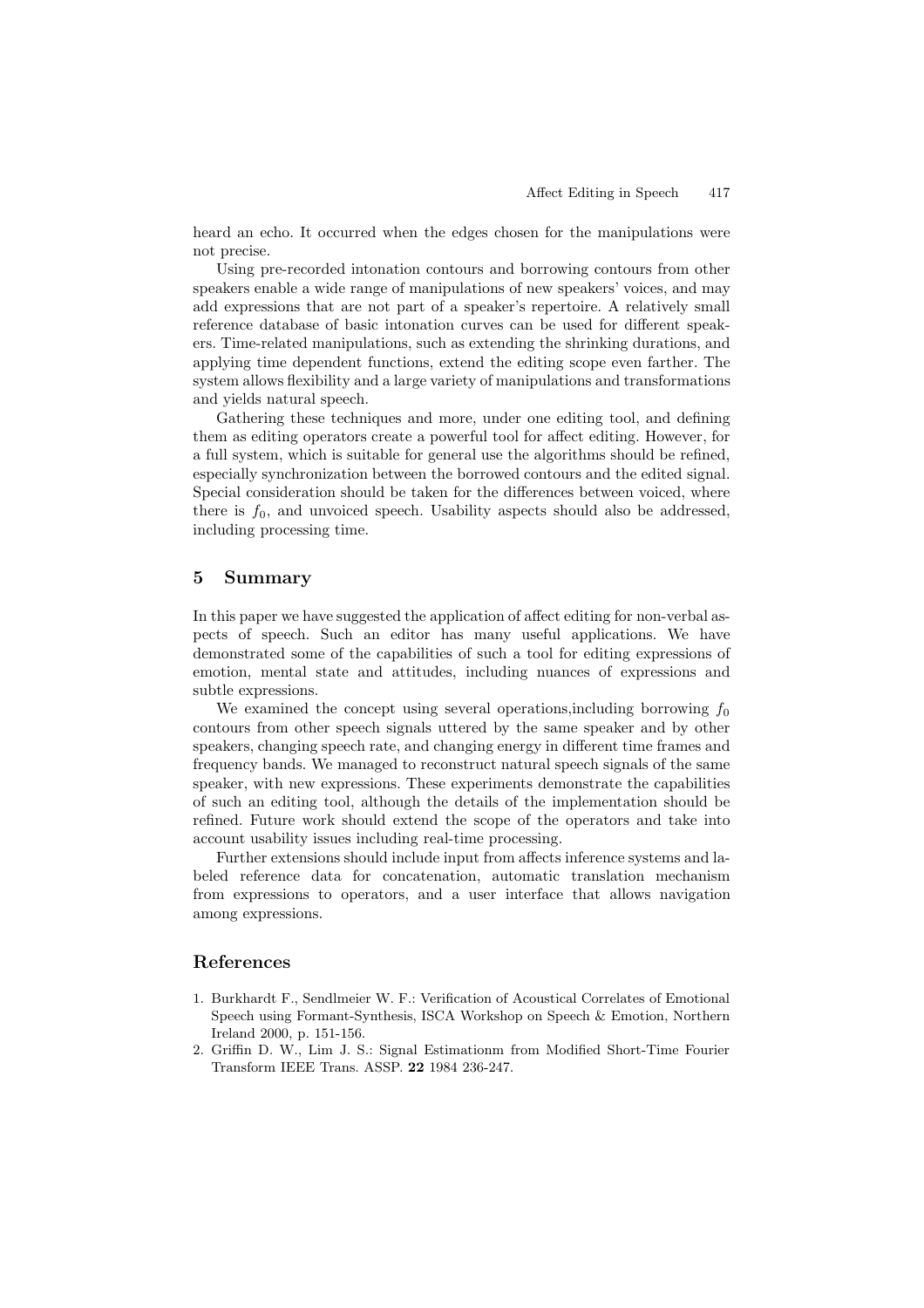heard an echo. It occurred when the edges chosen for the manipulations were not precise.

Using pre-recorded intonation contours and borrowing contours from other speakers enable a wide range of manipulations of new speakers' voices, and may add expressions that are not part of a speaker's repertoire. A relatively small reference database of basic intonation curves can be used for different speakers. Time-related manipulations, such as extending the shrinking durations, and applying time dependent functions, extend the editing scope even farther. The system allows flexibility and a large variety of manipulations and transformations and yields natural speech.

Gathering these techniques and more, under one editing tool, and defining them as editing operators create a powerful tool for affect editing. However, for a full system, which is suitable for general use the algorithms should be refined, especially synchronization between the borrowed contours and the edited signal. Special consideration should be taken for the differences between voiced, where there is  $f_0$ , and unvoiced speech. Usability aspects should also be addressed, including processing time.

### **5 Summary**

In this paper we have suggested the application of affect editing for non-verbal aspects of speech. Such an editor has many useful applications. We have demonstrated some of the capabilities of such a tool for editing expressions of emotion, mental state and attitudes, including nuances of expressions and subtle expressions.

We examined the concept using several operations, including borrowing  $f_0$ contours from other speech signals uttered by the same speaker and by other speakers, changing speech rate, and changing energy in different time frames and frequency bands. We managed to reconstruct natural speech signals of the same speaker, with new expressions. These experiments demonstrate the capabilities of such an editing tool, although the details of the implementation should be refined. Future work should extend the scope of the operators and take into account usability issues including real-time processing.

Further extensions should include input from affects inference systems and labeled reference data for concatenation, automatic translation mechanism from expressions to operators, and a user interface that allows navigation among expressions.

### <span id="page-6-1"></span><span id="page-6-0"></span>**References**

- 1. Burkhardt F., Sendlmeier W. F.: Verification of Acoustical Correlates of Emotional Speech using Formant-Synthesis, ISCA Workshop on Speech & Emotion, Northern Ireland 2000, p. 151-156.
- <span id="page-6-2"></span>2. Griffin D. W., Lim J. S.: Signal Estimationm from Modified Short-Time Fourier Transform IEEE Trans. ASSP. **22** 1984 236-247.